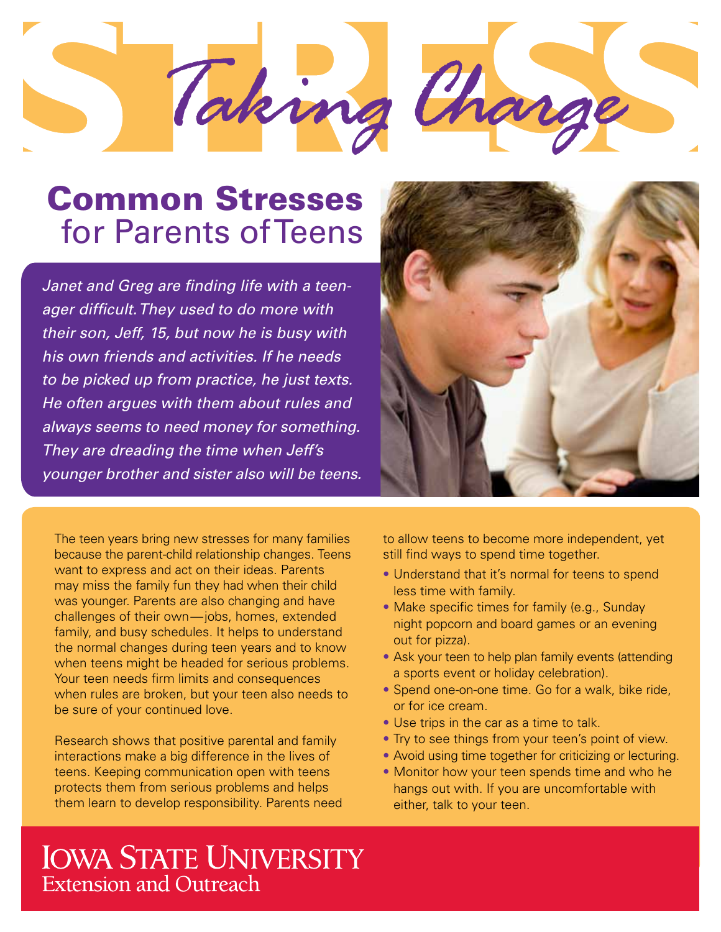

# Common Stresses for Parents of Teens

*Janet and Greg are finding life with a teenager difficult. They used to do more with their son, Jeff, 15, but now he is busy with his own friends and activities. If he needs to be picked up from practice, he just texts. He often argues with them about rules and always seems to need money for something. They are dreading the time when Jeff's younger brother and sister also will be teens.*

The teen years bring new stresses for many families because the parent-child relationship changes. Teens want to express and act on their ideas. Parents may miss the family fun they had when their child was younger. Parents are also changing and have challenges of their own—jobs, homes, extended family, and busy schedules. It helps to understand the normal changes during teen years and to know when teens might be headed for serious problems. Your teen needs firm limits and consequences when rules are broken, but your teen also needs to be sure of your continued love.

Research shows that positive parental and family interactions make a big difference in the lives of teens. Keeping communication open with teens protects them from serious problems and helps them learn to develop responsibility. Parents need



to allow teens to become more independent, yet still find ways to spend time together.

- Understand that it's normal for teens to spend less time with family.
- Make specific times for family (e.g., Sunday night popcorn and board games or an evening out for pizza).
- Ask your teen to help plan family events (attending a sports event or holiday celebration).
- Spend one-on-one time. Go for a walk, bike ride, or for ice cream.
- Use trips in the car as a time to talk.
- Try to see things from your teen's point of view.
- Avoid using time together for criticizing or lecturing.
- Monitor how your teen spends time and who he hangs out with. If you are uncomfortable with either, talk to your teen.

## **IOWA STATE UNIVERSITY Extension and Outreach**